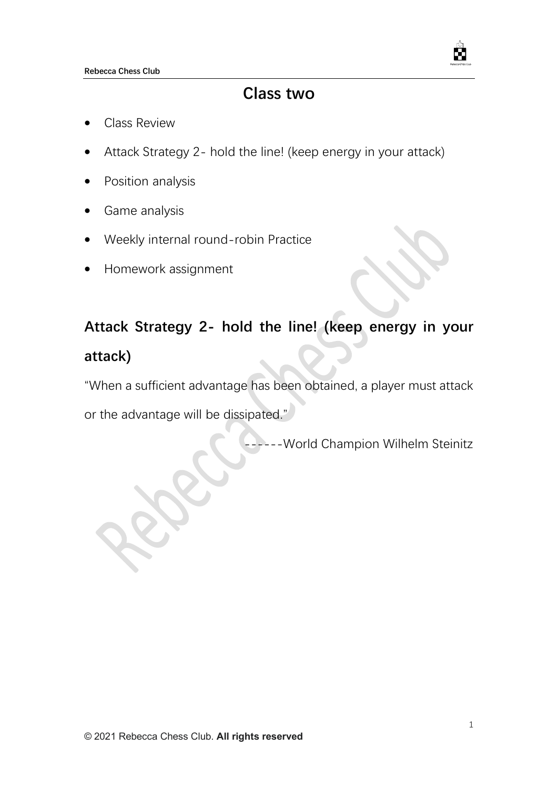

# **Class two**

- Class Review
- Attack Strategy 2- hold the line! (keep energy in your attack)
- Position analysis
- Game analysis
- Weekly internal round-robin Practice
- Homework assignment

# **Attack Strategy 2- hold the line! (keep energy in your attack)**

"When a sufficient advantage has been obtained, a player must attack

or the advantage will be dissipated."

--World Champion Wilhelm Steinitz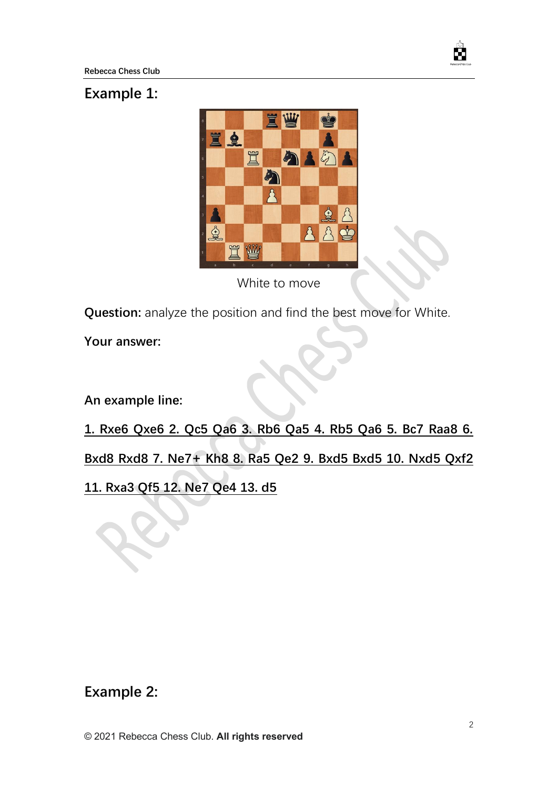

#### **Example 1:**



White to move

**Question:** analyze the position and find the best move for White.

**Your answer:**

**An example line:**

**1. Rxe6 Qxe6 2. Qc5 Qa6 3. Rb6 Qa5 4. Rb5 Qa6 5. Bc7 Raa8 6.** 

**Bxd8 Rxd8 7. Ne7+ Kh8 8. Ra5 Qe2 9. Bxd5 Bxd5 10. Nxd5 Qxf2** 

**11. Rxa3 Qf5 12. Ne7 Qe4 13. d5**

## **Example 2:**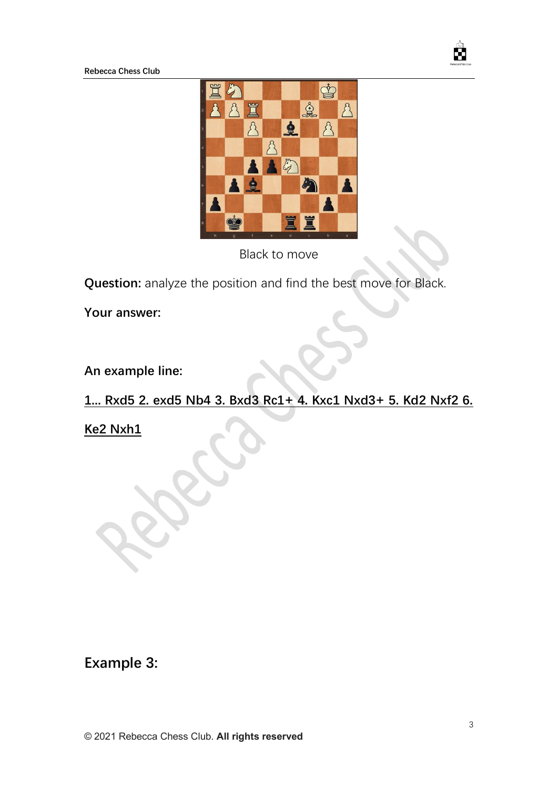**Rebecca Chess Club**



Black to move

**Question:** analyze the position and find the best move for Black.

**Your answer:**

**An example line:**

## **1... Rxd5 2. exd5 Nb4 3. Bxd3 Rc1+ 4. Kxc1 Nxd3+ 5. Kd2 Nxf2 6.**

**Ke2 Nxh1**

## **Example 3:**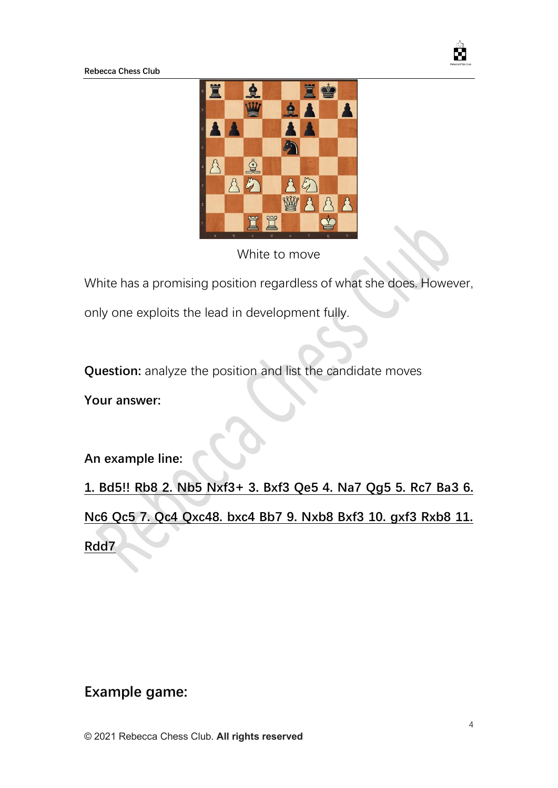**Rebecca Chess Club**



White to move

White has a promising position regardless of what she does. However,

only one exploits the lead in development fully.

**Question:** analyze the position and list the candidate moves

**Your answer:**

**An example line:**

**1. Bd5!! Rb8 2. Nb5 Nxf3+ 3. Bxf3 Qe5 4. Na7 Qg5 5. Rc7 Ba3 6. Nc6 Qc5 7. Qc4 Qxc48. bxc4 Bb7 9. Nxb8 Bxf3 10. gxf3 Rxb8 11. Rdd7**

#### **Example game:**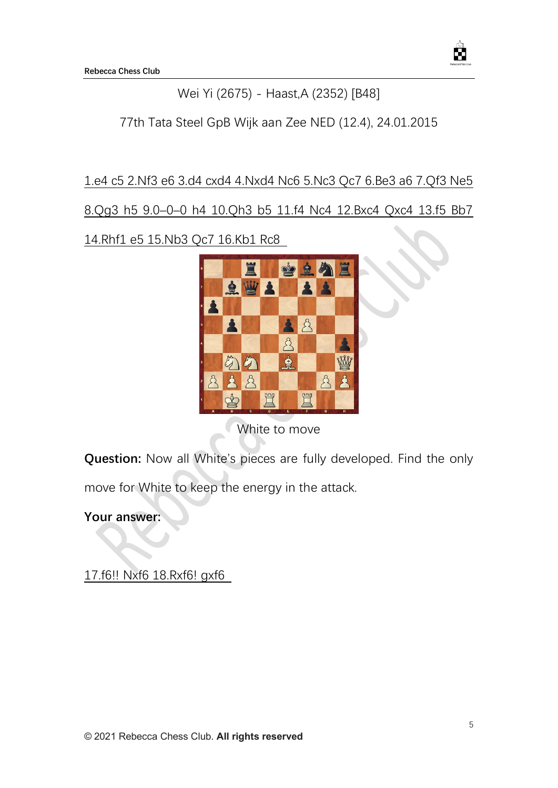

#### Wei Yi (2675) - Haast,A (2352) [B48]

77th Tata Steel GpB Wijk aan Zee NED (12.4), 24.01.2015

#### 1.e4 c5 2.Nf3 e6 3.d4 cxd4 4.Nxd4 Nc6 5.Nc3 Qc7 6.Be3 a6 7.Qf3 Ne5

8.Qg3 h5 9.0–0–0 h4 10.Qh3 b5 11.f4 Nc4 12.Bxc4 Qxc4 13.f5 Bb7

14.Rhf1 e5 15.Nb3 Qc7 16.Kb1 Rc8



White to move

**Question:** Now all White's pieces are fully developed. Find the only

move for White to keep the energy in the attack.

**Your answer:**

17.f6!! Nxf6 18.Rxf6! gxf6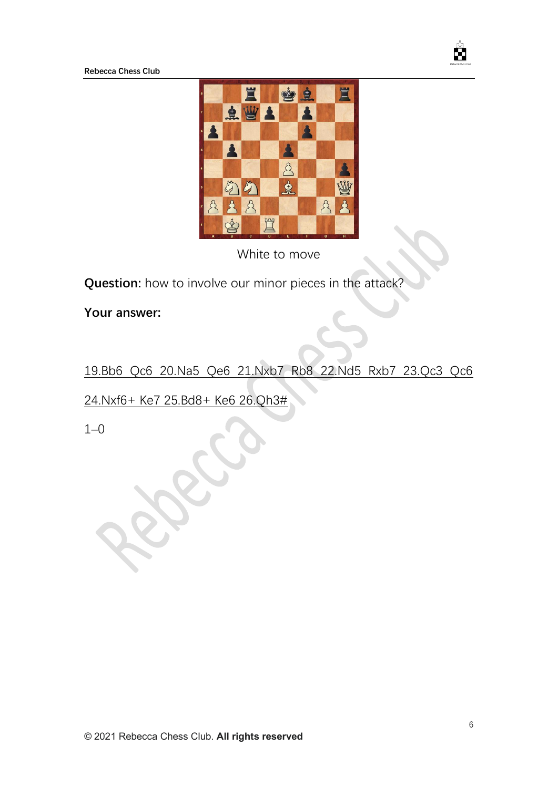

**Rebecca Chess Club**



White to move

**Question:** how to involve our minor pieces in the attack?

**Your answer:**

#### 19.Bb6 Qc6 20.Na5 Qe6 21.Nxb7 Rb8 22.Nd5 Rxb7 23.Qc3 Qc6

24.Nxf6+ Ke7 25.Bd8+ Ke6 26.Qh3#

1–0